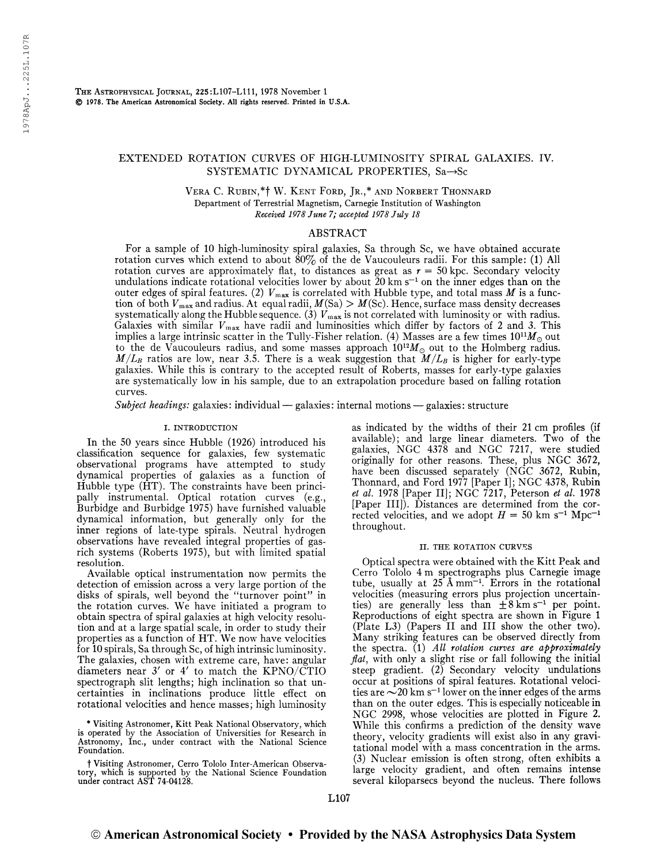# EXTENDED ROTATION CURVES OF HIGH-LUMINOSITY SPIRAL GALAXIES. IV. SYSTEMATIC DYNAMICAL PROPERTIES,  $Sa \rightarrow Sc$

Vera C. Rubin,\*f W. Kent Ford, Jr.,\* and Norbert Thonnard Department of Terrestrial Magnetism, Carnegie Institution of Washington Received 1978 June 7; accepted 1978 July 18

### ABSTRACT

For a sample of 10 high-luminosity spiral galaxies, Sa through Sc, we have obtained accurate rotation curves which extend to about  $80\%$  of the de Vaucouleurs radii. For this sample: (1) All rotation curves are approximately flat, to distances as great as  $r = 50$  kpc. Secondary velocity undulations indicate rotational velocities lower by about 20 km s \_1 on the inner edges than on the outer edges of spiral features. (2)  $V_{\text{max}}$  is correlated with Hubble type, and total mass M is a function of both  $V_{\text{max}}$  and radius. At equal radii,  $M(Sa) > M(Sc)$ . Hence, surface mass density decreases systematically along the Hubble sequence. (3)  $V_{\text{max}}$  is not correlated with luminosity or with radius. Galaxies with similar  $V_{\text{max}}$  have radii and luminosities which differ by factors of 2 and 3. This implies a large intrinsic scatter in the Tully-Fisher relation. (4) Masses are a few times  $10^{11}M_{\odot}$  out to the de Vaucouleurs radius, and some masses approach  $10^{12}M_{\odot}$  out to the Holmberg radius.  $M/L_B$  ratios are low, near 3.5. There is a weak suggestion that  $M/L_B$  is higher for early-type galaxies. While this is contrary to the accepted result of Roberts, masses for early-type galaxies are systematically low in his sample, due to an extrapolation procedure based on falling rotation curves.

Subject headings: galaxies: individual — galaxies: internal motions — galaxies: structure

### I. INTRODUCTION

In the 50 years since Hubble (1926) introduced his classification sequence for galaxies, few systematic observational programs have attempted to study dynamical properties of galaxies as a function of Hubble type (HT). The constraints have been principally instrumental. Optical rotation curves (e.g., Burbidge and Burbidge 1975) have furnished valuable dynamical information, but generally only for the inner regions of late-type spirals. Neutral hydrogen observations have revealed integral properties of gasrich systems (Roberts 1975), but with limited spatial resolution.

Available optical instrumentation now permits the detection of emission across a very large portion of the disks of spirals, well beyond the "turnover point" in the rotation curves. We have initiated a program to obtain spectra of spiral galaxies at high velocity resolution and at a large spatial scale, in order to study their properties as a function of HT. We now have velocities for 10 spirals, Sa through Sc, of high intrinsic luminosity. The galaxies, chosen with extreme care, have: angular diameters near  $3'$  or  $4'$  to match the KPNO/CTIO spectrograph slit lengths; high inclination so that uncertainties in inclinations produce little effect on rotational velocities and hence masses; high luminosity

\* Visiting Astronomer, Kitt Peak National Observatory, which is operated by the Association of Universities for Research in Astronomy, Inc., under contract with the National Science Foundation.

t Visiting Astronomer, Cerro Tololo Inter-American Observatory, which is supported by the National Science Foundation under contract AST 74-04128.

as indicated by the widths of their 21 cm profiles (if available); and large linear diameters. Two of the galaxies, NGC 4378 and NGC 7217, were studied originally for other reasons. These, plus NGC 3672, have been discussed separately (NGC 3672, Rubin, Thonnard, and Ford 1977 [Paper I]; NGC 4378, Rubin et al. 1978 [Paper II]; NGC  $\overline{7}217$ , Peterson et al. 1978 [Paper HI]). Distances are determined from the corrected velocities, and we adopt  $H = 50$  km s<sup>-1</sup> Mpc<sup>-1</sup> throughout.

#### II. the rotation curves

Optical spectra were obtained with the Kitt Peak and Cerro Tololo 4 m spectrographs plus Carnegie image tube, usually at <sup>25</sup> <sup>Â</sup> mm-1 . Errors in the rotational velocities (measuring errors plus projection uncertainties) are generally less than  $\pm 8$  km s<sup>-1</sup> per point. Reproductions of eight spectra are shown in Figure <sup>1</sup> (Plate L3) (Papers II and III show the other two). Many striking features can be observed directly from the spectra. (1) All rotation curves are approximately  $flat$ , with only a slight rise or fall following the initial steep gradient. (2) Secondary velocity undulations occur at positions of spiral features. Rotational velocities are  $\sim$  20 km s<sup> $-1$ </sup> lower on the inner edges of the arms than on the outer edges. This is especially noticeable in NGC 2998, whose velocities are plotted in Figure 2. While this confirms a prediction of the density wave theory, velocity gradients will exist also in any gravitational model with a mass concentration in the arms. (3) Nuclear emission is often strong, often exhibits a large velocity gradient, and often remains intense several kiloparsecs beyond the nucleus. There follows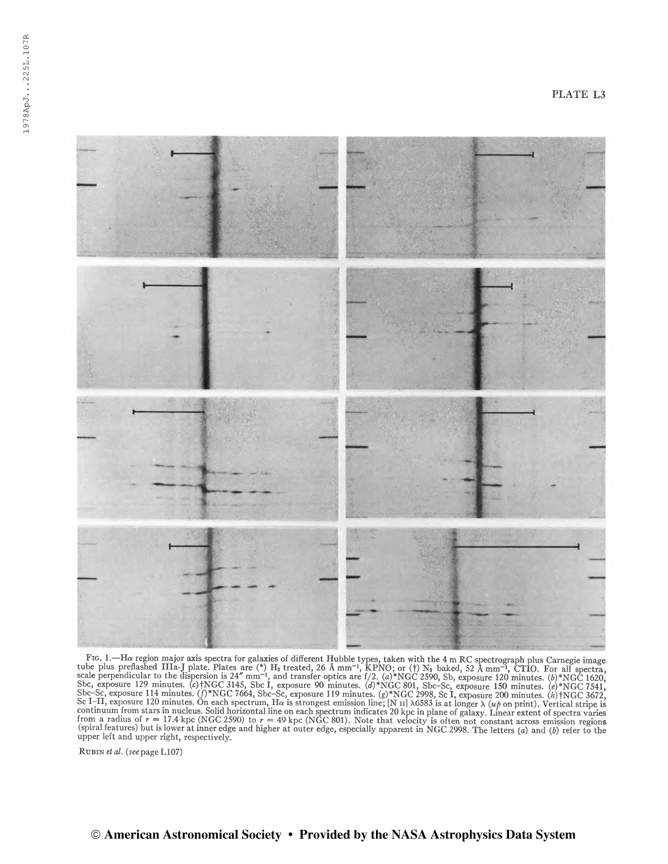

Fro. 1.—Ha region major axis spectra for galaxies of different Hubble types, taken with the 4 m RC spectrograph plus Carnegie image<br>tube plus preflashed IIIa-J plate. Plates are (\*) H<sub>2</sub> treated, 26 Å mm<sup>-1</sup>, KPNO; or (†) Sbc-Sc, exposure 114 minutes. (f)\*NGC 7664, Sbc-Sc, exposure 119 minutes. (g)\*NGC 2998, Sc I, exposure 200 minutes. (h)\*NGC 3672, Sc I-II, exposure 120 minutes. On each spectrum, H $\alpha$  is strongest emission line; [N II]

Rubin et al. {see page LI07)

# © American Astronomical Society • Provided by the NASA Astrophysics Data System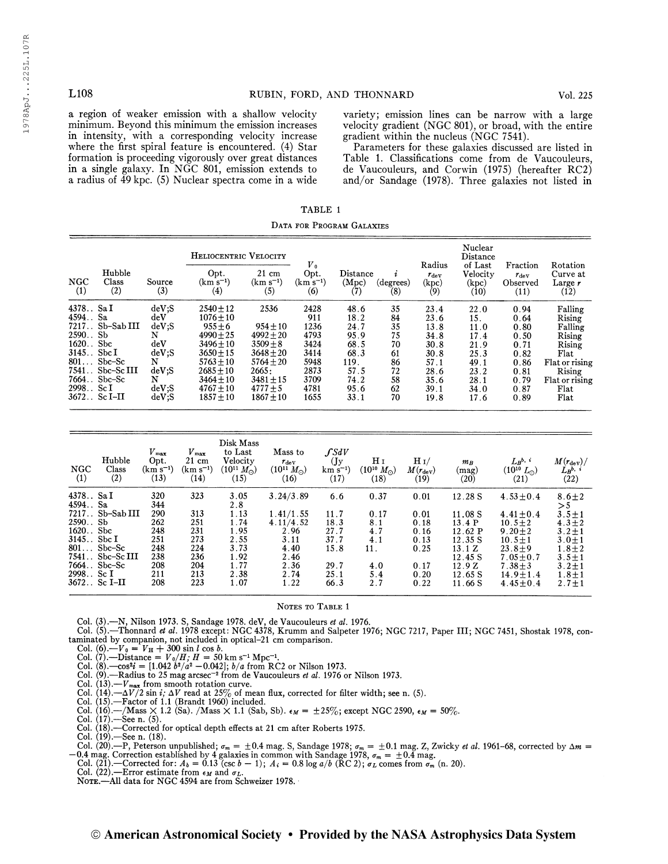TABLE <sup>1</sup> Data for Program Galaxies

| L <sub>108</sub>                                                                                                                                                                                                                                                                                                                                                                                          |                                                                                              | RUBIN, FORD, AND THONNARD                                                                                                                                                             |                                                                                                                                                    |                                                                                     |                                                                                      |                                                                |                                                                                      | Vol. 225                                                                            |                                                                                      |                                                                                                                                                                                                                                                                                                                                            |
|-----------------------------------------------------------------------------------------------------------------------------------------------------------------------------------------------------------------------------------------------------------------------------------------------------------------------------------------------------------------------------------------------------------|----------------------------------------------------------------------------------------------|---------------------------------------------------------------------------------------------------------------------------------------------------------------------------------------|----------------------------------------------------------------------------------------------------------------------------------------------------|-------------------------------------------------------------------------------------|--------------------------------------------------------------------------------------|----------------------------------------------------------------|--------------------------------------------------------------------------------------|-------------------------------------------------------------------------------------|--------------------------------------------------------------------------------------|--------------------------------------------------------------------------------------------------------------------------------------------------------------------------------------------------------------------------------------------------------------------------------------------------------------------------------------------|
| a region of weaker emission with a shallow velocity<br>minimum. Beyond this minimum the emission increases<br>in intensity, with a corresponding velocity increase<br>where the first spiral feature is encountered. (4) Star<br>formation is proceeding vigorously over great distances<br>in a single galaxy. In NGC 801, emission extends to<br>a radius of 49 kpc. (5) Nuclear spectra come in a wide |                                                                                              |                                                                                                                                                                                       |                                                                                                                                                    |                                                                                     |                                                                                      |                                                                |                                                                                      | gradient within the nucleus (NGC 7541).                                             |                                                                                      | variety; emission lines can be narrow with a large<br>velocity gradient (NGC 801), or broad, with the entire<br>Parameters for these galaxies discussed are listed in<br>Table 1. Classifications come from de Vaucouleurs,<br>de Vaucouleurs, and Corwin (1975) (hereafter RC2)<br>and/or Sandage $(1978)$ . Three galaxies not listed in |
|                                                                                                                                                                                                                                                                                                                                                                                                           |                                                                                              |                                                                                                                                                                                       |                                                                                                                                                    | TABLE 1                                                                             |                                                                                      |                                                                |                                                                                      |                                                                                     |                                                                                      |                                                                                                                                                                                                                                                                                                                                            |
|                                                                                                                                                                                                                                                                                                                                                                                                           |                                                                                              |                                                                                                                                                                                       |                                                                                                                                                    | DATA FOR PROGRAM GALAXIES                                                           |                                                                                      |                                                                |                                                                                      |                                                                                     |                                                                                      |                                                                                                                                                                                                                                                                                                                                            |
| Hubble                                                                                                                                                                                                                                                                                                                                                                                                    |                                                                                              | HELIOCENTRIC VELOCITY<br>Opt.                                                                                                                                                         | $21 \text{ cm}$                                                                                                                                    | $V_{0}$<br>Opt.                                                                     | Distance                                                                             |                                                                | Radius<br>$r_{\rm dev}$                                                              | Nuclear<br>Distance<br>of Last<br>Velocity                                          | Fraction<br>$r_{\rm dev}$                                                            | Rotation<br>Curve at                                                                                                                                                                                                                                                                                                                       |
| <b>NGC</b><br>Class<br>(2)<br>(1)                                                                                                                                                                                                                                                                                                                                                                         | Source<br>(3)                                                                                | $(km s^{-1})$<br>(4)                                                                                                                                                                  | $(km s^{-1})$<br>(5)                                                                                                                               | $(km s^{-1})$<br>(6)                                                                | (Mpc)<br>(7)                                                                         | (degrees)<br>(8)                                               | (kpc)<br>(9)                                                                         | (kpc)<br>(10)                                                                       | Observed<br>(11)                                                                     | Large $r$<br>(12)                                                                                                                                                                                                                                                                                                                          |
| 4378 Sa I<br>4594. Sa<br>7217 Sb-Sab III<br>2590. Sb<br>$1620.$ Sbc<br>$3145.$ Sbc I<br>$801$ Sbc-Sc<br>7541. Sbc-Sc III<br>$7664.$ Sbc-Sc<br>2998. Sc I<br>3672. Sc I-II                                                                                                                                                                                                                                 | deV;S<br>$\rm{deV}$<br>deV;S<br>N<br>deV<br>$dev$ :S<br>N<br>deV;S<br>N<br>$deV$ :S<br>deV;S | $2540 \pm 12$<br>$1076 \pm 10$<br>$955 \pm 6$<br>$4990 \pm 25$<br>$3496 \pm 10$<br>$3650 \pm 15$<br>$5763 \pm 10$<br>$2685 \pm 10$<br>$3464 \pm 10$<br>$4767 \pm 10$<br>$1857 \pm 10$ | 2536<br>$954 \pm 10$<br>$4992 \pm 20$<br>$3509 \pm 8$<br>$3648 \pm 20$<br>$5764 \pm 20$<br>2665:<br>$3481 \pm 15$<br>$4777 \pm 5$<br>$1867 \pm 10$ | 2428<br>911<br>1236<br>4793<br>3424<br>3414<br>5948<br>2873<br>3709<br>4781<br>1655 | 48.6<br>18.2<br>24.7<br>95.9<br>68.5<br>68.3<br>119.<br>57.5<br>74.2<br>95.6<br>33.1 | 35<br>84<br>35<br>75<br>70<br>61<br>86<br>72<br>58<br>62<br>70 | 23.4<br>23.6<br>13.8<br>34.8<br>30.8<br>30.8<br>57.1<br>28.6<br>35.6<br>39.1<br>19.8 | 22.0<br>15.<br>11.0<br>17.4<br>21.9<br>25.3<br>49.1<br>23.2<br>28.1<br>34.0<br>17.6 | 0.94<br>0.64<br>0.80<br>0.50<br>0.71<br>0.82<br>0.86<br>0.81<br>0.79<br>0.87<br>0.89 | Falling<br>Rising<br>Falling<br>Rising<br>Rising<br>Flat<br>Flat or rising<br>Rising<br>Flat or rising<br>Flat<br>Flat                                                                                                                                                                                                                     |
|                                                                                                                                                                                                                                                                                                                                                                                                           |                                                                                              | Disk Mass                                                                                                                                                                             |                                                                                                                                                    |                                                                                     |                                                                                      |                                                                |                                                                                      |                                                                                     |                                                                                      |                                                                                                                                                                                                                                                                                                                                            |
|                                                                                                                                                                                                                                                                                                                                                                                                           | V                                                                                            | $\boldsymbol{V}$<br>to Last                                                                                                                                                           | Mace to                                                                                                                                            |                                                                                     | CSAV                                                                                 |                                                                |                                                                                      |                                                                                     |                                                                                      |                                                                                                                                                                                                                                                                                                                                            |

| <b>NGC</b><br>(1)          | riuppie<br>Class<br>(2)                                                                                                                       | Source<br>(3)                   | $(km s^{-1})$   | Opt.<br>(4)                                   | 21 cm<br>$(km s^{-1})$<br>(5) | Upt.<br>$(km s^{-1})$<br>(6) | (Mpc)            | Distance<br>(7)      | $\imath$<br>(degrees)<br>(8) | $r_{\rm dev}$<br>(kpc)<br>(9) | <b>Velocity</b><br>(kpc)<br>(10) | $r_{\rm dev}$<br>Observed<br>(11) | Curve at<br>Large $r$<br>(12)                                                                                               |
|----------------------------|-----------------------------------------------------------------------------------------------------------------------------------------------|---------------------------------|-----------------|-----------------------------------------------|-------------------------------|------------------------------|------------------|----------------------|------------------------------|-------------------------------|----------------------------------|-----------------------------------|-----------------------------------------------------------------------------------------------------------------------------|
| 4378 Sa I<br>4594. Sa      | 7217. Sb-Sab III                                                                                                                              | $deV$ :S<br>$\rm{de}V$<br>deV;S |                 | $2540 \pm 12$<br>$1076 \pm 10$<br>$955 \pm 6$ | 2536<br>$954 + 10$            | 2428<br>911<br>1236          |                  | 48.6<br>18.2<br>24.7 | 35<br>84<br>35               | 23.4<br>23.6<br>13.8          | 22.0<br>15.<br>11.0              | 0.94<br>0.64<br>0.80              | Falling<br>Rising<br>Falling                                                                                                |
| $2590.$ . Sb               |                                                                                                                                               | N                               |                 | $4990 \pm 25$                                 | $4992 + 20$                   | 4793                         |                  | 95.9                 | 75                           | 34.8                          | 17.4                             | 0.50                              | Rising                                                                                                                      |
| 1620. Sbc<br>$3145.$ Sbc I |                                                                                                                                               | $\rm{deV}$<br>dev:S             |                 | $3496 \pm 10$<br>$3650 + 15$                  | $3509 \pm 8$<br>$3648 + 20$   | 3424                         |                  | 68.5                 | 70                           | 30.8                          | 21.9                             | 0.71                              | Rising                                                                                                                      |
|                            | $801$ Sbc-Sc                                                                                                                                  | N                               |                 | $5763 \pm 10$                                 | $5764 \pm 20$                 | 3414<br>5948                 | 119.             | 68.3                 | 61<br>86                     | 30.8<br>57.1                  | 25.3<br>49.1                     | 0.82<br>0.86                      | Flat<br>Flat or rising                                                                                                      |
|                            | 7541. Sbc-Sc III                                                                                                                              | $deV$ ;S                        |                 | $2685 + 10$                                   | 2665:                         | 2873                         |                  | 57.5                 | 72                           | 28.6                          | 23.2                             | 0.81                              | Rising                                                                                                                      |
|                            | 7664. Sbc-Sc                                                                                                                                  | N                               |                 | $3464 \pm 10$                                 | $3481 \pm 15$                 | 3709                         |                  | 74.2                 | 58                           | 35.6                          | 28.1                             | 0.79                              | Flat or rising                                                                                                              |
| 2998. Sc I                 |                                                                                                                                               | $deV$ :S                        |                 | $4767 \pm 10$                                 | $4777 + 5$                    | 4781                         |                  | 95.6                 | 62                           | 39.1                          | 34.0                             | 0.87                              | Flat                                                                                                                        |
|                            | $3672.$ Sc I-II                                                                                                                               | $deV$ :S                        |                 | $1857 \pm 10$                                 | $1867 \pm 10$                 | 1655                         |                  | 33.1                 | 70                           | 19.8                          | 17.6                             | 0.89                              | Flat                                                                                                                        |
|                            |                                                                                                                                               |                                 |                 | Disk Mass                                     |                               |                              |                  |                      |                              |                               |                                  |                                   |                                                                                                                             |
|                            |                                                                                                                                               | $V_{\rm max}$                   | $V_{\rm max}$   | to Last                                       |                               | Mass to                      | $\int SdV$       |                      |                              |                               |                                  |                                   |                                                                                                                             |
|                            | Hubble                                                                                                                                        | Opt.                            | $21 \text{ cm}$ | Velocity                                      |                               | $r_{\rm dev}$                | (Jy)             |                      | H <sub>I</sub>               | $H_1/$                        | $m_B$                            | $L_{B}$ <sub>b</sub> , $i$        | $M(r_{\rm dev})/$                                                                                                           |
| <b>NGC</b>                 | Class                                                                                                                                         | $(km s^{-1})$                   | $(km s^{-1})$   | $(10^{11} M_{\odot})$                         |                               | $(10^{11} M_{\odot})$        | $km s^{-1}$      |                      | $(10^{10} M_{\odot})$        | $M(r_{\rm dev})$              | (mag)                            | $(10^{10} L_{\odot})$             | $L_R$ <sup>b, i</sup>                                                                                                       |
| (1)                        | (2)                                                                                                                                           | (13)                            | (14)            | (15)                                          |                               | (16)                         | (17)             |                      | (18)                         | (19)                          | (20)                             | (21)                              | (22)                                                                                                                        |
| 4378 Sa I<br>4594. Sa      |                                                                                                                                               | 320<br>344                      | 323             | 3.05<br>2.8                                   |                               | 3.24/3.89                    | 6.6              |                      | 0.37                         | 0.01                          | 12.28 S                          | $4.53 \pm 0.4$                    | $8.6 + 2$<br>$>$ 5                                                                                                          |
|                            | 7217. Sb-Sab III                                                                                                                              | 290                             | 313             | 1.13                                          |                               | 1.41/1.55                    | 11.7             |                      | 0.17                         | 0.01                          | 11.08 S                          | $4.41 \pm 0.4$                    | $3.5 \pm 1$                                                                                                                 |
| 2590. Sb                   |                                                                                                                                               | 262                             | 251             | 1.74                                          |                               | 4.11/4.52                    | 18.3             |                      | 8.1                          | 0.18                          | 13.4 P                           | $10.5 \pm 2$                      | $4.3 \pm 2$                                                                                                                 |
| 1620. Sbc<br>$3145.$ Sbc I |                                                                                                                                               | 248<br>251                      | 231<br>273      | 1.95<br>2.55                                  |                               | 2.96<br>3.11                 | 27.7<br>37.7     |                      | 4.7                          | 0.16                          | 12.62 P                          | $9.20 \pm 2$                      | $3.2 + 1$                                                                                                                   |
|                            | $801$ Sbc-Sc                                                                                                                                  | 248                             | 224             | 3.73                                          |                               | 4.40                         | 15.8             | 11.                  | 4.1                          | 0.13<br>0.25                  | 12.35 S<br>13.1 Z                | $10.5 \pm 1$<br>$23.8 + 9$        | $3.0 + 1$<br>$1.8 + 2$                                                                                                      |
|                            | $7541.$ Sbc-Sc III                                                                                                                            | 238                             | 236             | 1.92                                          |                               | 2.46                         |                  |                      |                              |                               | 12.45 S                          | $7.05 \pm 0.7$                    | $3.5 \pm 1$                                                                                                                 |
|                            | $7664.$ Sbc-Sc                                                                                                                                | 208                             | 204             | 1.77                                          |                               | 2.36                         | 29.7             |                      | 4.0                          | 0.17                          | 12.9Z                            | $7.38 \pm 3$                      | $3.2 + 1$                                                                                                                   |
| 2998. Sc I                 |                                                                                                                                               | 211                             | 213             | 2.38                                          |                               | 2.74                         | 25.1             |                      | 5.4                          | 0.20                          | 12.65 S                          | $14.9 \pm 1.4$                    | $1.8 + 1$                                                                                                                   |
|                            | $3672.$ . Sc I-II                                                                                                                             | 208                             | 223             | 1.07                                          |                               | 1.22                         | 66.3             |                      | 2.7                          | 0.22                          | 11.66 S                          | $4.45 \pm 0.4$                    | $2.7 + 1$                                                                                                                   |
|                            |                                                                                                                                               |                                 |                 |                                               |                               |                              | NOTES TO TABLE 1 |                      |                              |                               |                                  |                                   |                                                                                                                             |
|                            | Col. (3).-N, Nilson 1973. S, Sandage 1978. deV, de Vaucouleurs et al. 1976.<br>tominated by companion not included in entired 21 am companion |                                 |                 |                                               |                               |                              |                  |                      |                              |                               |                                  |                                   | Col. (5). Thonnard et al. 1978 except: NGC 4378, Krumm and Salpeter 1976; NGC 7217, Paper III; NGC 7451, Shostak 1978, con- |

#### NOTES TO TABLE 1

Col. (3).—N, Nilson 1973. S, Sandage 1978. deV, de Vaucouleurs *et al.* 1976.<br>Col. (5).—Thonnard *et al*. 1978 except: NGC 4378, Krumm and Salpeter 1976; NGC 7217, Paper III; NGC 7451, Shostak 1978, contaminated by companion, not included in optical-21 cm comparison.

- 
- 
- Col. (6).— $V_0 = V_H + 300 \sin l \cos b$ .<br>
Col. (7).—Distance =  $V_0/H$ ;  $H = 50 \text{ km s}^{-1} \text{ Mpc}^{-1}$ .<br>
Col. (8).—cos<sup>2</sup>*i* = [1.042 *b*<sup>2</sup>/*a*<sup>2</sup> 0.042]; *b*/*a* from RC2 or Nilson 1973.
- Col.  $(9)$ . Radius to 25 mag arcsec<sup>-2</sup> from de Vaucouleurs et al. 1976 or Nilson 1973.
- 
- Col. (13).— $V_{\text{max}}$  from smooth rotation curve.<br>Col. (14).— $\Delta V/2$  sin *i*;  $\Delta V$  read at 25% of mean flux, corrected for filter width; see n. (5).<br>Col. (15).—Factor of 1.1 (Brandt 1960) included.
- 
- Col. (16).—/Mass  $\times$  1.2 (Sa). /Mass  $\times$  1.1 (Sab, Sb).  $\epsilon_M = \pm 25\%$ ; except NGC 2590,  $\epsilon_M = 50\%$ .<br>Col. (17).—See n. (5).
- 
- 

Col. (18).—Corrected for optical depth effects at 21 cm after Roberts 1975.<br>Col. (19).—See n. (18).<br>Col. (20).—P, Peterson unpublished;  $\sigma_m = \pm 0.4$  mag. S, Sandage 1978;  $\sigma_m = \pm 0.1$  mag. Z, Zwicky *et al.* 1961–68, corr

- 
-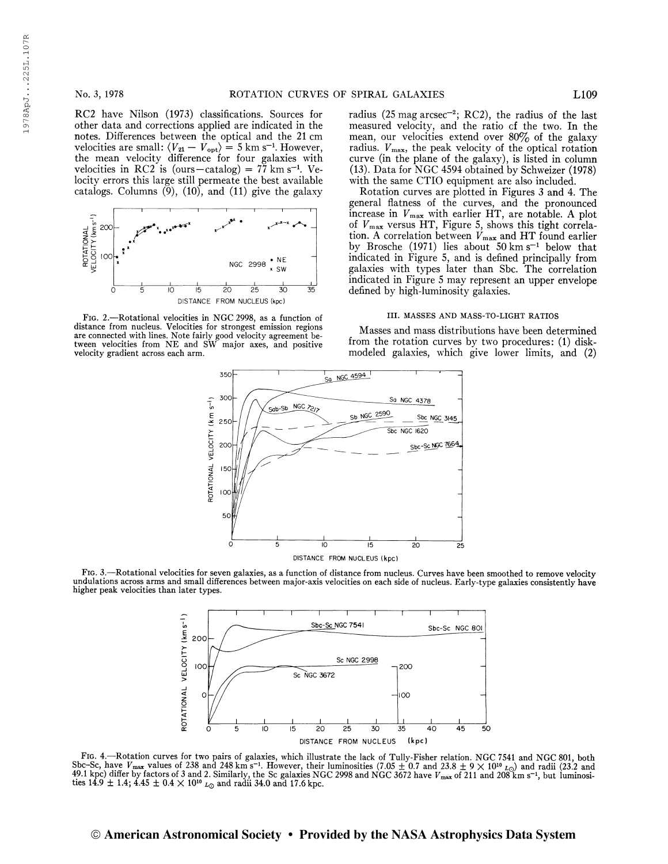RC2 have Nilson (1973) classifications. Sources for other data and corrections applied are indicated in the notes. Differences between the optical and the 21 cm velocities are small:  $\langle V_{21} - V_{\text{opt}} \rangle = 5$  km s<sup>-1</sup>. However, the mean velocity difference for four galaxies with velocities in RC2 is (ours-catalog) =  $77 \text{ km s}^{-1}$ . Velocity errors this large still permeate the best available catalogs. Columns  $(\check{9})$ ,  $(10)$ , and  $(11)$  give the galaxy



Fig. 2.—Rotational velocities in NGC 2998, as a function of distance from nucleus. Velocities for strongest emission regions are connected with lines. Note fairly good velocity agreement be-tween velocities from NE and SW major axes, and positive velocity gradient across each arm.

radius (25 mag  $\arccos^{-2}$ ; RC2), the radius of the last measured velocity, and the ratio cf the two. In the mean, our velocities extend over  $80\%$  of the galaxy radius.  $V_{\text{max}}$ , the peak velocity of the optical rotation curve (in the plane of the galaxy), is listed in column (13). Data for NGC 4594 obtained by Schweizer (1978) with the same CTIO equipment are also included.

Rotation curves are plotted in Figures 3 and 4. The general flatness of the curves, and the pronounced increase in  $V_{\text{max}}$  with earlier HT, are notable. A plot of  $V_{\text{max}}$  versus HT, Figure 5, shows this tight correlation. A correlation between  $\dot{V}_{\text{max}}$  and HT found earlier<br>by Brosche (1971) lies about 50 km s<sup>-1</sup> below that indicated in Figure 5, and is defined principally from galaxies with types later than Sbc. The correlation indicated in Figure 5 may represent an upper envelope defined by high-luminosity galaxies.

#### III. MASSES AND MASS-TO-LIGHT RATIOS

Masses and mass distributions have been determined from the rotation curves by two procedures: (1) diskmodeled galaxies, which give lower limits, and (2)



Fig. 3.—Rotational velocities for seven galaxies, as a function of distance from nucleus. Curves have been smoothed to remove velocity undulations across arms and small differences between major-axis velocities on each side of nucleus. Early-type galaxies consistently have higher peak velocities than later types.



Frg. 4.—Rotation curves for two pairs of galaxies, which illustrate the lack of Tully-Fisher relation. NGC 7541 and NGC 801, both Sbc-Sc, have  $V_{\text{max}}$  values of 238 and 248 km s<sup>-1</sup>. However, their luminosities (7.05  $\$  $49.1 \text{ kpc}$ ) differ by factors of 3 and 24.8 in s  $\cdot$ . However, their luminosities (1.05  $\pm$  0.1 and 25.8  $\pm$  9  $\times$  10<sup>10</sup> L<sub>O</sub>) and radii (25.2 and 14.9  $\pm$  1.4; 4.45  $\pm$  0.4  $\times$  10<sup>10</sup> L<sub>O</sub> and radii 34.0 and 17

# © American Astronomical Society • Provided by the NASA Astrophysics Data System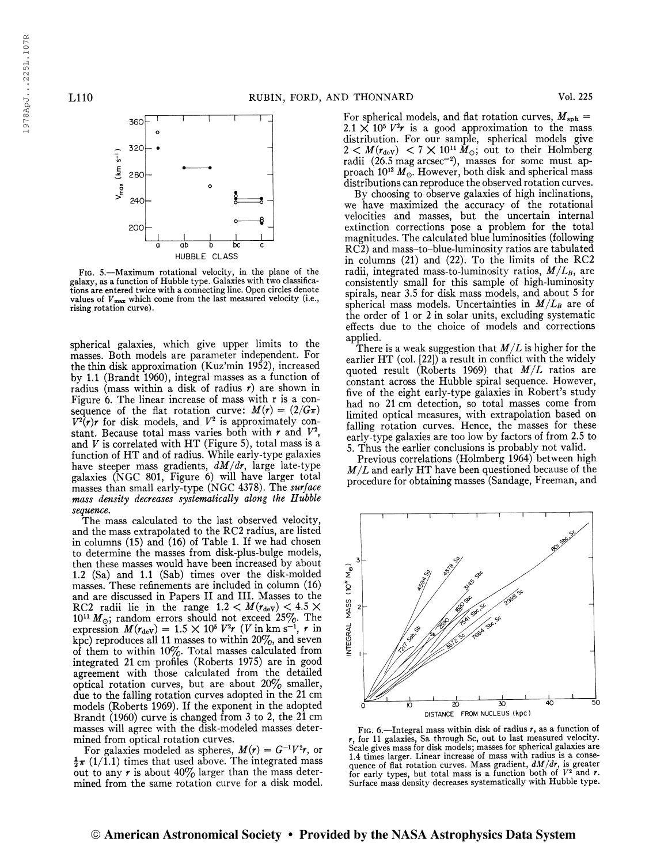

Fig. 5.—Maximum rotational velocity, in the plane of the galaxy, as a function of Hubble type. Galaxies with two classifications are entered twice with a connecting line. Open circles denote values of  $V_{\text{max}}$  which come from the last measured velocity (i.e., rising rotation curve).

spherical galaxies, which give upper limits to the masses. Both models are parameter independent. For the thin disk approximation (Kuz'min 1952), increased by 1.1 (Brandt 1960), integral masses as a function of radius (mass within a disk of radius  $r$ ) are shown in Figure 6. The linear increase of mass with r is a consequence of the flat rotation curve:  $M(r) = (2/G\pi)$  $V^2(r)r$  for disk models, and  $V^2$  is approximately constant. Because total mass varies both with  $r$  and  $V^2$ , and  $V$  is correlated with HT (Figure 5), total mass is a function of HT and of radius. While early-type galaxies have steeper mass gradients,  $dM/dr$ , large late-type galaxies (NGC 801, Figure 6) will have larger total masses than small early-type (NGC 4378). The surface mass density decreases systematically along the Hubble sequence.

The mass calculated to the last observed velocity, and the mass extrapolated to the RC2 radius, are listed in columns (15) and (16) of Table 1. If we had chosen to determine the masses from disk-plus-bulge models, then these masses would have been increased by about 1.2 (Sa) and 1.1 (Sab) times over the disk-molded masses. These refinements are included in column (16) and are discussed in Papers II and HI. Masses to the RC2 radii lie in the range  $1.2 < M(r_{\text{dev}}) < 4.5 \times$  $10^{11} M_{\odot}$ ; random errors should not exceed 25%. The expression  $M(r_{\rm deV}) = 1.5 \times 10^5 V^2 r$  (V in km s<sup>-1</sup>, r in kpc) reproduces all 11 masses to within  $20\%,$  and seven of them to within 10%. Total masses calculated from integrated 21 cm profiles (Roberts 1975) are in good agreement with those calculated from the detailed optical rotation curves, but are about 20% smaller, due to the falling rotation curves adopted in the 21 cm models (Roberts 1969). If the exponent in the adopted Brandt (1960) curve is changed from 3 to 2, the 21 cm masses will agree with the disk-modeled masses determined from optical rotation curves.

For galaxies modeled as spheres,  $M(r) = G^{-1}V^2r$ , or  $\frac{1}{2}\pi$  (1/1.1) times that used above. The integrated mass out to any r is about  $40\%$  larger than the mass determined from the same rotation curve for a disk model. For spherical models, and flat rotation curves,  $M_{\rm sph} =$  $2.1 \times 10^5 V^2 r$  is a good approximation to the mass distribution. For our sample, spherical models give  $2 < M(r_{\rm deV}) < 7 \times 10^{11} M_{\odot}$ ; out to their Holmberg radii  $(26.5 \text{ mag arcsec}^{-2})$ , masses for some must approach  $10^{12}$   $M_{\odot}$ . However, both disk and spherical mass distributions can reproduce the observed rotation curves.

By choosing to observe galaxies of high inclinations, we have maximized the accuracy of the rotational velocities and masses, but the uncertain internal extinction corrections pose a problem for the total magnitudes. The calculated blue luminosities (following RC2) and mass-to-blue-luminosity ratios are tabulated in columns (21) and (22). To the limits of the RC2 radii, integrated mass-to-luminosity ratios,  $M/L_B$ , are consistently small for this sample of high-luminosity spirals, near 3.5 for disk mass models, and about 5 for spherical mass models. Uncertainties in  $M/L_B$  are of the order of <sup>1</sup> or 2 in solar units, excluding systematic effects due to the choice of models and corrections applied.

There is a weak suggestion that  $M/L$  is higher for the earlier HT (col. [22]) a result in conflict with the widely quoted result (Roberts 1969) that  $M/L$  ratios are constant across the Hubble spiral sequence. However, five of the eight early-type galaxies in Robert's study had no 21 cm detection, so total masses come from limited optical measures, with extrapolation based on falling rotation curves. Hence, the masses for these early-type galaxies are too low by factors of from 2.5 to 5. Thus the earlier conclusions is probably not valid.

Previous correlations (Holmberg 1964) between high  $M/L$  and early HT have been questioned because of the procedure for obtaining masses (Sandage, Freeman, and



FIG. 6.—Integral mass within disk of radius  $r$ , as a function of r, for 11 galaxies, Sa through Sc, out to last measured velocity. Scale gives mass for disk models; masses for spherical galaxies are 1.4 times larger. Linear increase of mass with radius is a consequence of flat rotation curves. Mass gradient,  $dM/dr$ , is greater for early types, but total mass is a function both of  $V^2$  and r. Surface mass density decreases systematically with Hubble type.